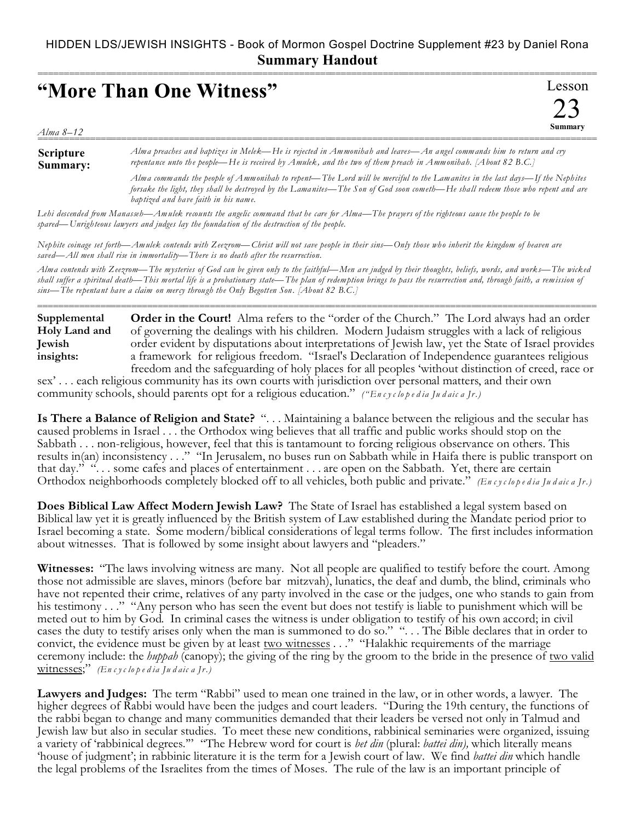## HIDDEN LDS/JEWISH INSIGHTS - Book of Mormon Gospel Doctrine Supplement #23 by Daniel Rona **Summary Handout**

| "More Than One Witness" |  |                                                                                                                                                                                                                                                                                                              |  |  |  | Lesson |  |
|-------------------------|--|--------------------------------------------------------------------------------------------------------------------------------------------------------------------------------------------------------------------------------------------------------------------------------------------------------------|--|--|--|--------|--|
| Alma 8–12               |  |                                                                                                                                                                                                                                                                                                              |  |  |  |        |  |
|                         |  | $\mathcal{A}$ and the state of the state $\mathcal{A}$ and $\mathcal{A}$ and $\mathcal{A}$ and $\mathcal{A}$ and $\mathcal{A}$ and $\mathcal{A}$ and $\mathcal{A}$ and $\mathcal{A}$ and $\mathcal{A}$ and $\mathcal{A}$ and $\mathcal{A}$ and $\mathcal{A}$ and $\mathcal{A}$ and $\mathcal{A}$ and $\math$ |  |  |  |        |  |

**Scripture Summary:** *Alma preaches and baptizes in Melek—He is rejected in Ammonihah and leaves—An angel commands him to return and cry repentance unto th e people—He is received by Amulek, and the two of them preach in Ammonihah. [About 82 B.C.]*

> *Alma commands the people of Ammonihah to repent—The Lord will be merciful to the Lamanites in the last days—If the Nephites forsake the light, they shall be destroyed by the Lamanites—The Son of God soon cometh—He shall redeem those who repent and are baptized and have faith in his name.*

*Lehi descended from Manasseh—Amulek recounts the angelic command that he care for Alma—The prayers of the righteous cause the people to be spared—Unrighteous lawyers and judges lay the foundation of the destruction of the people.*

*Nephite coinage set forth—Amulek contends with Zeezrom—Christ will not save people in their sins—Only those who inherit the kingdom of heaven are saved—All men shall rise in immortality—There is no death after the resurrection.*

*Alma contends with Zeezrom—The mysteries of God can be given only to the faithful—Men are judged by their thoughts, beliefs, words, and works—The wicked shall suffer a spiritual death—This mortal life is a probationary state—The plan of redemption brings to pass the resurrection and, through faith, a remission of sins—The repentant have a claim on mercy through the Only Begotten Son. [About 82 B.C.]*

===========================================================================================================

**Order in the Court!** Alma refers to the "order of the Church." The Lord always had an order of governing the dealings with his children. Modern Judaism struggles with a lack of religious order evident by disputations about interpretations of Jewish law, yet the State of Israel provides a framework for religious freedom. "Israel's Declaration of Independence guarantees religious freedom and the safeguarding of holy places for all peoples 'without distinction of creed, race or **Supplemental Holy Land and Jewish insights:**

sex' . . . each religious community has its own courts with jurisdiction over personal matters, and their own community schools, should parents opt for a religious education." *("En c y c lo p e d ia Ju d aic a Jr.)*

**Is There a Balance of Religion and State?** ". . . Maintaining a balance between the religious and the secular has caused problems in Israel . . . the Orthodox wing believes that all traffic and public works should stop on the Sabbath . . . non-religious, however, feel that this is tantamount to forcing religious observance on others. This results in(an) inconsistency . . ." "In Jerusalem, no buses run on Sabbath while in Haifa there is public transport on that day." ". . . some cafes and places of entertainment . . . are open on the Sabbath. Yet, there are certain Orthodox neighborhoods completely blocked off to all vehicles, both public and private." *(En c y c lo p e d ia Ju d aic a Jr.)*

**Does Biblical Law Affect Modern Jewish Law?** The State of Israel has established a legal system based on Biblical law yet it is greatly influenced by the British system of Law established during the Mandate period prior to Israel becoming a state. Some modern/biblical considerations of legal terms follow. The first includes information about witnesses. That is followed by some insight about lawyers and "pleaders."

**Witnesses:** "The laws involving witness are many. Not all people are qualified to testify before the court. Among those not admissible are slaves, minors (before bar mitzvah), lunatics, the deaf and dumb, the blind, criminals who have not repented their crime, relatives of any party involved in the case or the judges, one who stands to gain from his testimony . . ." "Any person who has seen the event but does not testify is liable to punishment which will be meted out to him by God. In criminal cases the witness is under obligation to testify of his own accord; in civil cases the duty to testify arises only when the man is summoned to do so." ". . . The Bible declares that in order to convict, the evidence must be given by at least two witnesses . . ." "Halakhic requirements of the marriage ceremony include: the *huppah* (canopy); the giving of the ring by the groom to the bride in the presence of two valid witnesses;" *(En c y c lo p e d ia Ju d aic a Jr.)*

**Lawyers and Judges:** The term "Rabbi" used to mean one trained in the law, or in other words, a lawyer. The higher degrees of Rabbi would have been the judges and court leaders. "During the 19th century, the functions of the rabbi began to change and many communities demanded that their leaders be versed not only in Talmud and Jewish law but also in secular studies. To meet these new conditions, rabbinical seminaries were organized, issuing a variety of 'rabbinical degrees.'" "The Hebrew word for court is *bet din* (plural: *battei din),* which literally means 'house of judgment'; in rabbinic literature it is the term for a Jewish court of law. We find *battei din* which handle the legal problems of the Israelites from the times of Moses. The rule of the law is an important principle of